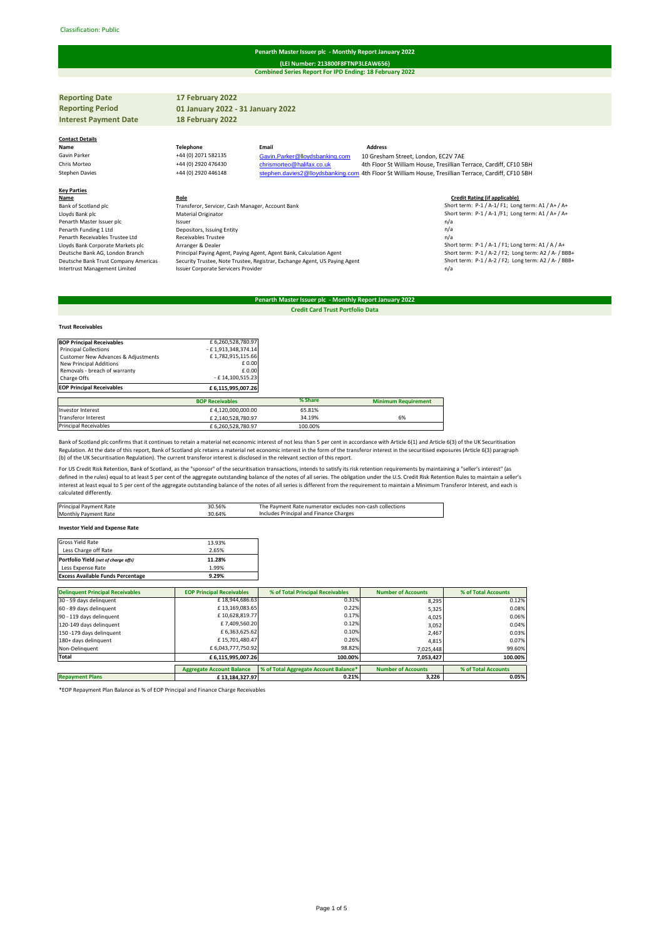### Classification: Public#

# **Penarth Master Issuer plc - Monthly Report January 2022**

**Combined Series Report For IPD Ending: 18 February 2022 (LEI Number: 213800F8FTNP3LEAW656)**

| <b>Reporting Date</b>                | 17 February 2022                                 |                                                                                                     |                                     |                                                                   |
|--------------------------------------|--------------------------------------------------|-----------------------------------------------------------------------------------------------------|-------------------------------------|-------------------------------------------------------------------|
| <b>Reporting Period</b>              | 01 January 2022 - 31 January 2022                |                                                                                                     |                                     |                                                                   |
| <b>Interest Payment Date</b>         | 18 February 2022                                 |                                                                                                     |                                     |                                                                   |
|                                      |                                                  |                                                                                                     |                                     |                                                                   |
| <b>Contact Details</b>               |                                                  |                                                                                                     |                                     |                                                                   |
| Name                                 | <b>Telephone</b>                                 | Email                                                                                               | <b>Address</b>                      |                                                                   |
| Gavin Parker                         | +44 (0) 2071 582135                              | Gavin.Parker@lloydsbanking.com                                                                      | 10 Gresham Street, London, EC2V 7AE |                                                                   |
| Chris Morteo                         | +44 (0) 2920 476430                              | chrismorteo@halifax.co.uk                                                                           |                                     | 4th Floor St William House, Tresillian Terrace, Cardiff, CF10 5BH |
| <b>Stephen Davies</b>                | +44 (0) 2920 446148                              | stephen.davies2@lloydsbanking.com 4th Floor St William House, Tresillian Terrace, Cardiff, CF10 5BH |                                     |                                                                   |
|                                      |                                                  |                                                                                                     |                                     |                                                                   |
| <b>Key Parties</b>                   |                                                  |                                                                                                     |                                     |                                                                   |
| Name                                 | Role                                             |                                                                                                     |                                     | <b>Credit Rating (if applicable)</b>                              |
| Bank of Scotland plc                 | Transferor, Servicer, Cash Manager, Account Bank |                                                                                                     |                                     | Short term: P-1 / A-1/ F1; Long term: A1 / A+ / A+                |
| Lloyds Bank plc                      | Material Originator                              |                                                                                                     |                                     | Short term: P-1 / A-1 /F1; Long term: A1 / A+ / A+                |
| Penarth Master Issuer plc            | Issuer                                           |                                                                                                     |                                     | n/a                                                               |
| Penarth Funding 1 Ltd                | Depositors, Issuing Entity                       |                                                                                                     |                                     | n/a                                                               |
| Penarth Receivables Trustee Ltd      | <b>Receivables Trustee</b>                       |                                                                                                     |                                     | n/a                                                               |
| Lloyds Bank Corporate Markets plc    | Arranger & Dealer                                |                                                                                                     |                                     | Short term: P-1 / A-1 / F1; Long term: A1 / A / A+                |
| Deutsche Bank AG, London Branch      |                                                  | Principal Paying Agent, Paying Agent, Agent Bank, Calculation Agent                                 |                                     | Short term: P-1 / A-2 / F2; Long term: A2 / A- / BBB+             |
| Deutsche Bank Trust Company Americas |                                                  | Security Trustee, Note Trustee, Registrar, Exchange Agent, US Paying Agent                          |                                     | Short term: P-1 / A-2 / F2; Long term: A2 / A- / BBB+             |
| Intertrust Management Limited        | Issuer Corporate Servicers Provider              |                                                                                                     |                                     | n/a                                                               |
|                                      |                                                  |                                                                                                     |                                     |                                                                   |

## **Penarth Master Issuer plc - Monthly Report January 2022 Credit Card Trust Portfolio Data**

# **Trust Receivables**

| <b>BOP Principal Receivables</b>               | £6,260,528,780.97      |         |                            |
|------------------------------------------------|------------------------|---------|----------------------------|
| <b>Principal Collections</b>                   | - £1,913,348,374.14    |         |                            |
| <b>Customer New Advances &amp; Adjustments</b> | £1,782,915,115.66      |         |                            |
| New Principal Additions                        | £ 0.00                 |         |                            |
| Removals - breach of warranty                  | £ 0.00                 |         |                            |
| Charge Offs                                    | - £14,100,515.23       |         |                            |
| <b>EOP Principal Receivables</b>               | £6,115,995,007.26      |         |                            |
|                                                | <b>BOP Receivables</b> | % Share | <b>Minimum Requirement</b> |
| <b>Investor Interest</b>                       | £4,120,000,000.00      | 65.81%  |                            |
| <b>Transferor Interest</b>                     | £2,140,528,780.97      | 34.19%  | 6%                         |
| <b>Principal Receivables</b>                   | £6.260.528.780.97      | 100.00% |                            |

Bank of Scotland plc confirms that it continues to retain a material net economic interest of not less than 5 per cent in accordance with Article 6(1) and Article 6(3) of the UK Securitisation Regulation. At the date of this report, Bank of Scotland plc retains a material net economic interest in the form of the transferor interest in the securitised exposures (Article 6(3) paragraph<br>(b) of the UK Securitisation

For US Credit Risk Retention, Bank of Scotland, as the "sponsor" of the securitisation transactions, intends to satisfy its risk retention requirements by maintaining a "seller's interest" (as<br>defined in the rules) equal t calculated differently.

| Principal Payment Rate      | 30.56% | The Payment Rate numerator excludes non-cash collections |
|-----------------------------|--------|----------------------------------------------------------|
| <b>Monthly Payment Rate</b> | 30.64% | Includes Principal and Finance Charges                   |
|                             |        |                                                          |

## **Investor Yield and Expense Rate**

| Gross Yield Rate                         | 13.93% |
|------------------------------------------|--------|
| Less Charge off Rate                     | 2.65%  |
| Portfolio Yield (net of charge offs)     | 11.28% |
| Less Expense Rate                        | 1.99%  |
| <b>Excess Available Funds Percentage</b> | 9.29%  |

| <b>Delinquent Principal Receivables</b> | <b>EOP Principal Receivables</b> | % of Total Principal Receivables      | <b>Number of Accounts</b> | % of Total Accounts |
|-----------------------------------------|----------------------------------|---------------------------------------|---------------------------|---------------------|
| 30 - 59 days delinquent                 | £18,944,686.63                   | 0.31%                                 | 8.295                     | 0.12%               |
| 60 - 89 days delinquent                 | £13,169,083.65                   | 0.22%                                 | 5,325                     | 0.08%               |
| 90 - 119 days delinquent                | £10,628,819.77                   | 0.17%                                 | 4,025                     | 0.06%               |
| 120-149 days delinquent                 | £7,409,560.20                    | 0.12%                                 | 3.052                     | 0.04%               |
| 150 -179 days delinquent                | £ 6,363,625.62                   | 0.10%                                 | 2.467                     | 0.03%               |
| 180+ days delinquent                    | £15,701,480.47                   | 0.26%                                 | 4.815                     | 0.07%               |
| Non-Delinquent                          | £6,043,777,750.92                | 98.82%                                | 7,025,448                 | 99.60%              |
| Total                                   | £6,115,995,007.26                | 100.00%                               | 7,053,427                 | 100.00%             |
|                                         |                                  |                                       |                           |                     |
|                                         | <b>Aggregate Account Balance</b> | % of Total Aggregate Account Balance* | <b>Number of Accounts</b> | % of Total Accounts |
| <b>Repayment Plans</b>                  | £13,184,327.97                   | 0.21%                                 | 3.226                     | 0.05%               |

\*EOP Repayment Plan Balance as % of EOP Principal and Finance Charge Receivables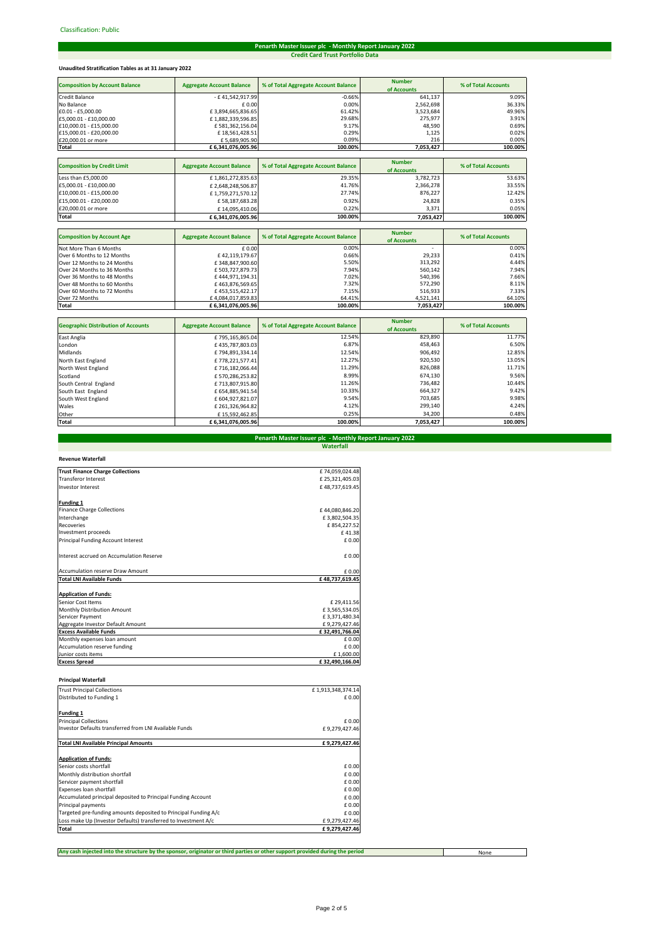# **Penarth Master Issuer plc - Monthly Report January 2022 Credit Card Trust Portfolio Data**

# **Unaudited Stratification Tables as at 31 January 2022**

| <b>Composition by Account Balance</b> | <b>Aggregate Account Balance</b> | % of Total Aggregate Account Balance | <b>Number</b> | % of Total Accounts |
|---------------------------------------|----------------------------------|--------------------------------------|---------------|---------------------|
|                                       |                                  |                                      | of Accounts   |                     |
| Credit Balance                        | - £41,542,917.99                 | $-0.66%$                             | 641,137       | 9.09%               |
| No Balance                            | £ 0.00                           | 0.00%                                | 2,562,698     | 36.33%              |
| £0.01 - £5,000.00                     | £3,894,665,836.65                | 61.42%                               | 3,523,684     | 49.96%              |
| £5,000.01 - £10,000.00                | £1,882,339,596.85                | 29.68%                               | 275,977       | 3.91%               |
| £10,000.01 - £15,000.00               | £581,362,156.04                  | 9.17%                                | 48,590        | 0.69%               |
| £15,000.01 - £20,000.00               | £18,561,428.51                   | 0.29%                                | 1,125         | 0.02%               |
| £20,000.01 or more                    | £5,689,905.90                    | 0.09%                                | 216           | 0.00%               |
| Total                                 | £6,341,076,005.96                | 100.00%                              | 7,053,427     | 100.00%             |
|                                       |                                  |                                      |               |                     |
| <b>Composition by Credit Limit</b>    | <b>Aggregate Account Balance</b> | % of Total Aggregate Account Balance | <b>Number</b> | % of Total Accounts |
|                                       |                                  |                                      | of Accounts   |                     |
| Less than £5,000.00                   | £1,861,272,835.63                | 29.35%                               | 3,782,723     | 53.63%              |
| £5,000.01 - £10,000.00                | £2,648,248,506.87                | 41.76%                               | 2,366,278     | 33.55%              |
| £10,000.01 - £15,000.00               | £1,759,271,570.12                | 27.74%                               | 876,227       | 12.42%              |
| £15,000.01 - £20,000.00               | £58,187,683.28                   | 0.92%                                | 24,828        | 0.35%               |
| £20,000.01 or more                    | £14,095,410.06                   | 0.22%                                | 3,371         | 0.05%               |
| Total                                 | £6,341,076,005.96                | 100.00%                              | 7,053,427     | 100.00%             |

| <b>Composition by Account Age</b> | <b>Aggregate Account Balance</b> | % of Total Aggregate Account Balance | <b>Number</b><br>of Accounts | % of Total Accounts |
|-----------------------------------|----------------------------------|--------------------------------------|------------------------------|---------------------|
| Not More Than 6 Months            | £0.00                            | 0.00%                                |                              | 0.00%               |
| Over 6 Months to 12 Months        | £42.119.179.67                   | 0.66%                                | 29.233                       | 0.41%               |
| Over 12 Months to 24 Months       | £348,847,900.60                  | 5.50%                                | 313.292                      | 4.44%               |
| Over 24 Months to 36 Months       | £503.727.879.73                  | 7.94%                                | 560,142                      | 7.94%               |
| Over 36 Months to 48 Months       | £444,971,194.31                  | 7.02%                                | 540.396                      | 7.66%               |
| Over 48 Months to 60 Months       | £463.876.569.65                  | 7.32%                                | 572.290                      | 8.11%               |
| Over 60 Months to 72 Months       | £453.515.422.17                  | 7.15%                                | 516.933                      | 7.33%               |
| Over 72 Months                    | £4,084,017,859.83                | 64.41%                               | 4,521,141                    | 64.10%              |
| Total                             | £6.341.076.005.96                | 100.00%                              | 7,053,427                    | 100.00%             |

| <b>Geographic Distribution of Accounts</b> | <b>Aggregate Account Balance</b> | % of Total Aggregate Account Balance | <b>Number</b> | % of Total Accounts |
|--------------------------------------------|----------------------------------|--------------------------------------|---------------|---------------------|
|                                            |                                  |                                      | of Accounts   |                     |
| East Anglia                                | £795,165,865.04                  | 12.54%                               | 829,890       | 11.77%              |
| London                                     | £435,787,803.03                  | 6.87%                                | 458.463       | 6.50%               |
| Midlands                                   | £794,891,334.14                  | 12.54%                               | 906,492       | 12.85%              |
| North East England                         | £778,221,577.41                  | 12.27%                               | 920.530       | 13.05%              |
| North West England                         | £716,182,066.44                  | 11.29%                               | 826.088       | 11.71%              |
| Scotland                                   | £570,286,253.82                  | 8.99%                                | 674,130       | 9.56%               |
| South Central England                      | £713.807.915.80                  | 11.26%                               | 736.482       | 10.44%              |
| South East England                         | £ 654.885.941.54                 | 10.33%                               | 664.327       | 9.42%               |
| South West England                         | £ 604,927,821.07                 | 9.54%                                | 703,685       | 9.98%               |
| Wales                                      | £ 261,326,964.82                 | 4.12%                                | 299.140       | 4.24%               |
| Other                                      | £15.592.462.85                   | 0.25%                                | 34,200        | 0.48%               |
| Total                                      | £6,341,076,005.96                | 100.00%                              | 7,053,427     | 100.00%             |

# **Waterfall Penarth Master Issuer plc - Monthly Report January 2022**

| <b>Revenue Waterfall</b>                 |                |
|------------------------------------------|----------------|
| <b>Trust Finance Charge Collections</b>  | £74,059,024.48 |
| <b>Transferor Interest</b>               | £25,321,405.03 |
| <b>Investor Interest</b>                 | £48,737,619.45 |
| <b>Funding 1</b>                         |                |
| <b>Finance Charge Collections</b>        | £44,080,846.20 |
| Interchange                              | £3,802,504.35  |
| <b>Recoveries</b>                        | £854.227.52    |
| Investment proceeds                      | £41.38         |
| Principal Funding Account Interest       | $f$ 0.00       |
| Interest accrued on Accumulation Reserve | £ 0.00         |
| <b>Accumulation reserve Draw Amount</b>  | $f$ 0.00       |
| <b>Total LNI Available Funds</b>         | £48,737,619.45 |
| <b>Application of Funds:</b>             |                |
| Senior Cost Items                        | £29,411.56     |
| Monthly Distribution Amount              | £3,565,534.05  |
| Servicer Payment                         | £3,371,480.34  |
| Aggregate Investor Default Amount        | £9,279,427.46  |
| <b>Excess Available Funds</b>            | £32,491,766.04 |
| Monthly expenses loan amount             | $f$ 0.00       |
| Accumulation reserve funding             | £0.00          |
| Junior costs items                       | £1,600.00      |
| <b>Excess Spread</b>                     | £32,490,166.04 |

# **Principal Waterfall**

| <b>Trust Principal Collections</b>                              |                   |
|-----------------------------------------------------------------|-------------------|
|                                                                 | £1,913,348,374.14 |
| Distributed to Funding 1                                        | £ 0.00            |
| <b>Funding 1</b>                                                |                   |
| <b>Principal Collections</b>                                    | £ 0.00            |
| Investor Defaults transferred from LNI Available Funds          | £9,279,427.46     |
| <b>Total LNI Available Principal Amounts</b>                    | £9,279,427.46     |
| <b>Application of Funds:</b>                                    |                   |
| Senior costs shortfall                                          | £ 0.00            |
| Monthly distribution shortfall                                  | £ 0.00            |
| Servicer payment shortfall                                      | £0.00             |
| Expenses loan shortfall                                         | £ 0.00            |
| Accumulated principal deposited to Principal Funding Account    | £ 0.00            |
| Principal payments                                              | £0.00             |
| Targeted pre-funding amounts deposited to Principal Funding A/c | £ 0.00            |
| Loss make Up (Investor Defaults) transferred to Investment A/c  | £9,279,427.46     |
| Total                                                           | £9.279.427.46     |

**Any cash injected into the structure by the sponsor, originator or third parties or other support provided during the period**

None

┱

 $\overline{\phantom{a}}$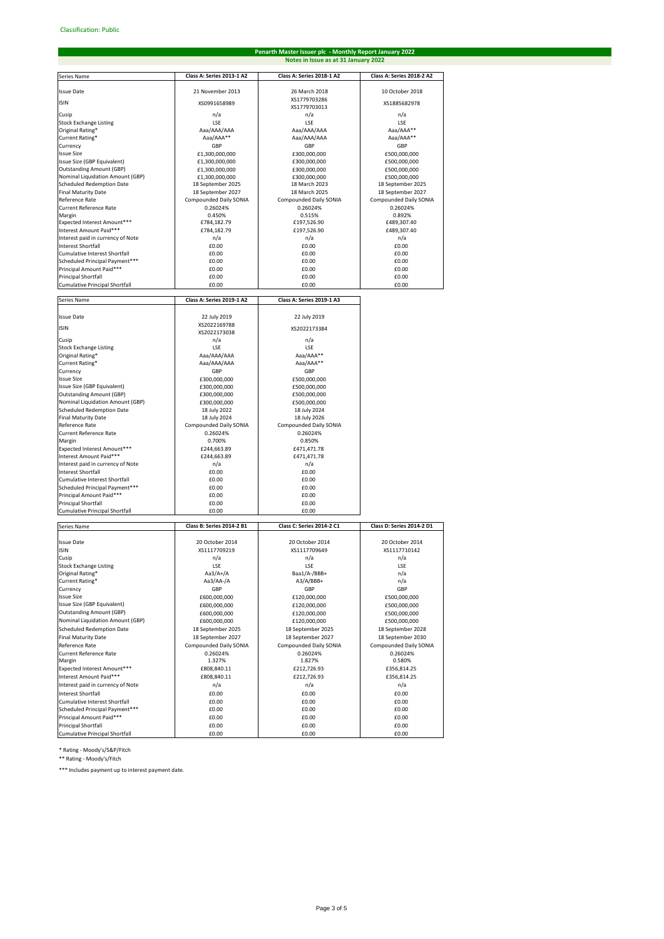### Series Name **Class A: Series 2013-1 A2 Class A: Series 2018-1 A2 Class A: Series 2018-2 A2** Issue Date 21 November 2013 26 March 2018 10 October 2018 ISIN XS0991658989 VS177070206 XS1779703013 XS1885682978 Cusip and the contract of the contract of the contract of the contract of the contract of the contract of the contract of the contract of the contract of the contract of the contract of the contract of the contract of the Stock Exchange Listing LSE LSE LSE Original Rating\* Aaa/AAA/AAA Aaa/AAA/AAA Aaa/AAA\*\* Current Rating\* Aaa/AAA\*\* Aaa/AAA/AAA Aaa/AAA\*\* Currency GBP GBP GBP الموالد المستشرق المستشرق المستشرق المستشرق المستشرق المستشرق المستشرق المستشرق المستشرق المستشرق المستشرق المس<br>1930,000,000 £500,000,000 £1,300,000,000 £300,000,000 £500,000,000<br>1930,000,000,000 £500,000,000,000 £500,000 Issue Size (GBP Equivalent) £1,300,000,000 £300,000,000 £500,000,000 Outstanding Amount (GBP) £1,300,000,000 £300,000,000 £500,000,000 Nominal Liquidation Amount (GBP) £1,300,000,000 £300,000,000 £500,000,000 Scheduled Redemption Date 18 September 2025 18 March 2023 18 September 2025 Final Maturity Date 18 September 2027 18 March 2025 18 September 2027 Reference Rate Compounded Daily SONIA Compounded Daily SONIA Compounded Daily SONIA Compounded Daily SONIA Compounded Daily SONIA Current Reference Rate 0.26024% 0.26024% 0.26024% Margin 0.450% 0.515% 0.892% Expected Interest Amount\*\*\* £784,182.79 £197,526.90 £489,307.40 Interest Amount Paid\*\*\* £784,182.79 £197,526.90 £489,307.40 Interest paid in currency of Note n/a n/a n/a Interest Shortfall £0.00 £0.00 £0.00 Cucus Cumulative Interest Shortfall  $\begin{bmatrix} 0.00 \end{bmatrix}$ <br>Cumulative Interest Shortfall  $\begin{bmatrix} 0.00 \end{bmatrix}$ <br>Cheduled Principal Payment\*\*\*  $\begin{bmatrix} 0.00 \end{bmatrix}$ Scheduled Principal Payment\*\*\* £0.00 £0.00 £0.00 Principal Amount Paid\*\*\* £0.00 £0.00 £0.00 Principal Shortfall £0.00 £0.00 £0.00 account the Principal Shortfall **Executes Executes Executes Executes Executes Executes Executes Executes Executes Executes Executes Executes Executes Executes Executes Executes Executes Ex** Series Name **Class A: Series 2019-1 A2 Class A: Series 2019-1 A3** Issue Date 22 July 2019<br>
22 July 2019<br>
22 July 2019<br>
22 July 2019 ISIN XS2022169788 XS2022173038 XS2022173384 Cusip and a notation of the model of the model of the model of the model of the model of the model of the model دراء المساوت المستخدم المستخدم المستخدم المستخدم المستخدم المستخدم المستخدم المستخدم المستخدم المستخدم المستخد<br>1957 - المستخدم المستخدم المستخدم المستخدم المستخدم المستخدم المستخدم المستخدم المستخدم المستخدم المستخدم المس Original Rating\* Aaa/AAA/AAA Aaa/AAA\*\* Current Rating\* Aaa/AAA/AAA Aaa/AAA\*\* Currency GBP GBP Issue Size £300,000,000 £500,000,000 Issue Size (GBP Equivalent)<br>
ESO0,000,000 <br>
ESO0,000,000 <br>
ESO0,000,000 £500,000,000 £500,000,000 £500,000,000 Outstanding Amount (GBP) £300,000,000 £500,000,000 Nominal Liquidation Amount (GBP) £300,000,000 £500,000,000 Scheduled Redemption Date 18 July 2024<br>
Scheduled Redemption Date 18 July 2022<br>
Final Maturity Date 18 July 2024<br>
18 July 2026 Final Maturity Date 18 July 2020<br>
Reference Rate 18 July 2026<br>
Compounded Daily SONIA Compounded Daily SONIA Compounded Daily SONIA reference Rate Compounded Daily SONIA Compounded Daily<br>0.26024% 0.26024% Current Reference Rate 0.26024% 0.26024% 0.26024% 0.26024% 0.26024% 0.26024% 0.26024% 0.26024% 0.26024% 0.260<br>
Margin discreted Interest Amount\*\*\* 6.244.663.89 0.850% 0.850% 0.850% 0.850% 0.850% 0.850% 0.850% 0.850% 0.85<br>E Margin 0.700% 0.850% Expected Interest Amount\*\*\* £244,663.89 £471,471.78 Interest Amount Paid\*\*\* £244,663.89 £471,471.78 Interest paid in currency of Note  $n/a$ <br>Interest Shortfall and note note note note note note of note of note note of note of note of note of note of note of  $n/a$ Interest Shortfall **Example 2008**<br>
Interest Shortfall **E0.00** £0.00 £0.00 £0.00 £0.00 £0.00 £0.00 Cumulative Interest Shortfall **Example 2008**<br>Cumulative Interest Shortfall **E0.00**<br>Scheduled Principal Payment\*\*\* **E0.00** £0.00 £0.00 Scheduled Principal Payment\*\*\* £0.00 £0.00 Principal Amount Paid\*\*\* £0.00 £0.00 Principal Shortfall £0.00 £0.00 Cumulative Principal Shortfall £0.00 £0.00 Series Name **Class B: Series 2014-2 B1 Class C: Series 2014-2 C1 Class D: Series 2014-2 D1** Issue Date 20 October 2014 20 October 2014 20 October 2014 20 October 2014 20 October 2014 20 October 2014 20 October 2014 20 October 2014 20 October 2014 20 October 2014 20 October 2014 20 October 2014 20 October 2014 20 XS1117709649 Cusip and the contract of the contract of the contract of the contract of the contract of the contract of the contract of the contract of the contract of the contract of the contract of the contract of the contract of the Stock Exchange Listing the control of the control of the control of the control of the control of the control o<br>Diginal Rating\* the control of the control of the control of the control of the control of the control of the Concert Control (Concert Control of the Concert Control of the Concert Control of the Concert Control of the Concert<br>Corrent Rating\* (Corrent Rating\* (Concert Concert Concert Concert Concert Concert Concert Concert Concer Current Rating\* **Aa3/AA-/A** Aa3/AA-/A A3/A/BE<br>Currency GBP GBP GBP Currency GBP GBP GBP Issue Size **EXECUTE:** EXECUTE: ECOO,000,000 **EXECUTE: EXECUTE: EXECUTE: EXECUTE: EXECUTE: ESOO,000,000 ESOO,000,000** ISSUE (GBP Equivalent)<br>
Example and the example of the example of the example of the example of the example of the example of the exa<br>
Example of the example of the example of the example of the example of the example of t Outstanding Amount (GBP) £600,000,000 £120,000,000 £500,000,000 Nominal Liquidation Amount (GBP) £600,000,000 £120,000,000 £500,000,000 Scheduled Redemption Date 18 September 2025 18 September 2025 18 September 2025 18 September 2028 Final Maturity Date 18 September 2027 18 September 2027 18 September 2027 18 September 2030<br>Reference Rate 18 September 2027 18 September 2027 18 September 2027 18 September 2030 Reference Rate Compounded Daily SONIA Compounded Daily SONIA Compounded Daily SONIA Current Reference Rate 0.26024% 0.26024% 0.26024% Margin 1.327% 1.827% 0.580% Expected Interest Amount\*\*\* **2808,840.11** £212,726.93 £356,814.25 £356,814.25 £356,814.25 £212,726.93 £356,814.25 £212,726.93 Interest Amount Paid\*\*\* **2808,840.11 ESO8,840.11 ESO8,840.11 ESO8,840.11 ESO8,840.11 ESO8,840.11 ESO8,840.11 ESO8,840.11 ESO8,840.11 ESO8,840.11 ESO8,840.11 ESO8,840.11 ESO8,840.12 ESO8,840.12** Interest paid in currency of Note Interest Shortfall **ED.00 ED.00 ED.00 ED.00 ED.00 ED.00 ED.00** Cumulative Interest Shortfall **EXECUTE:**<br>Cumulative Interest Shortfall **EXECUTE:**<br>Complement of the COM and the COM complement of the COM complement of the COM complement of the COM complement of the COM complement of the Scheduled Principal Payment\*\*\* £0.00 £0.00 £0.00 Principal Amount Paid\*\*\* £0.00 £0.00 £0.00 Principal Shortfall £0.00 £0.00 £0.00 Cumulative Principal Shortfall **EDU EDU EDU EDU EDU EDU EDU EDU EDU EDU EDU EDU EDU EDU EDU Penarth Master Issuer plc - Monthly Report January 2023 Notes in Issue as at 31 January 2022**

\* Rating - Moody's/S&P/Fitch

\*\* Rating - Moody's/Fitch

\*\*\* Includes payment up to interest payment date.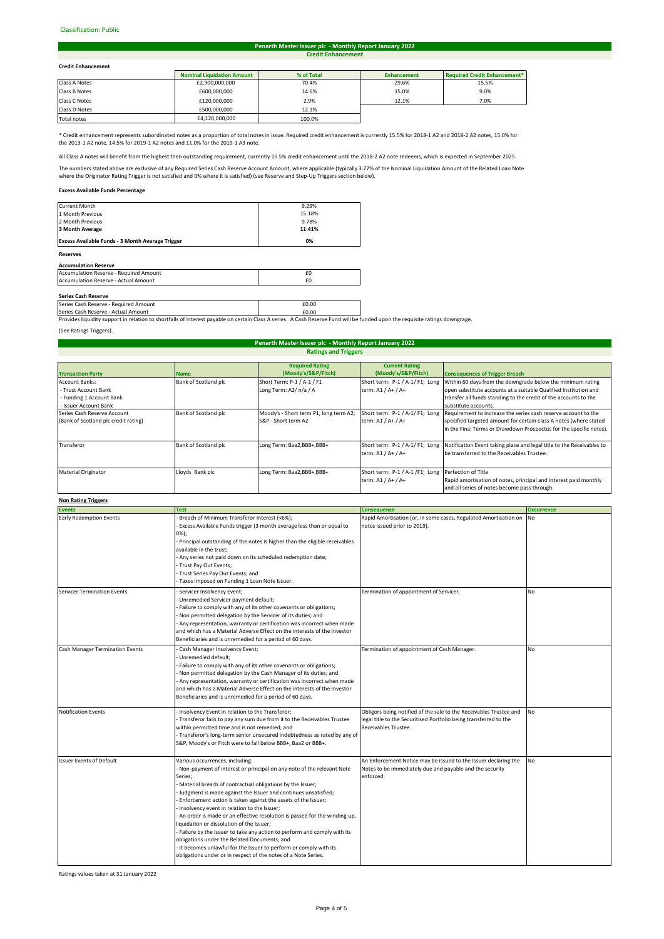#### Classification: Public#

#### **Credit Enhancement Penarth Master Issuer plc - Monthly Report January 2022**

#### **Credit Enhancement**

| <b>Credit Enhancement</b> |                                   |            |                    |                              |
|---------------------------|-----------------------------------|------------|--------------------|------------------------------|
|                           | <b>Nominal Liquidation Amount</b> | % of Total | <b>Enhancement</b> | Required Credit Enhancement* |
| Class A Notes             | £2,900,000,000                    | 70.4%      | 29.6%              | 15.5%                        |
| Class B Notes             | £600,000,000                      | 14.6%      | 15.0%              | 9.0%                         |
| Class C Notes             | £120,000,000                      | 2.9%       | 12.1%              | 7.0%                         |
| Class D Notes             | £500,000,000                      | 12.1%      |                    |                              |
|                           |                                   |            |                    |                              |

Total notes 100.0% and the father control of the father father than 100.0% and the father father father father than 100.0%

\* Credit enhancement represents subordinated notes as a proportion of total notes in issue. Required credit enhancement is currently 15.5% for 2018-1 A2 and 2018-2 A2 notes, 15.0% for the 2013-1 A2 note, 14.5% for 2019-1 A2 notes and 11.0% for the 2019-1 A3 note.

.<br>An All Denefit from the highest then outstanding requirement, currently 15.5% credit enhancement until the 2018-2 A2 note redeems, which is expected in September 2025.

The numbers stated above are exclusive of any Required Series Cash Reserve Account Amount, where applicable (typically 3.77% of the Nominal Liquidation Amount of the Related Loan Note where the Originator Rating Trigger is not satisfied and 0% where it is satisfied) (see Reserve and Step-Up Triggers section below).

#### **Excess Available Funds Percentage**

| <b>Reserves</b>                                         |        |
|---------------------------------------------------------|--------|
| <b>Excess Available Funds - 3 Month Average Trigger</b> | 0%     |
| 3 Month Average                                         | 11.41% |
| 2 Month Previous                                        | 9.78%  |
| 1 Month Previous                                        | 15.18% |
| <b>Current Month</b>                                    | 9.29%  |

# **Accumulation Reserve**

| Accumulation Reserve - Required Amount |  |
|----------------------------------------|--|
| Accumulation Reserve - Actual Amount   |  |
|                                        |  |

### **Series Cash Reserve**

Pries Cash Reserve - Required Amount **EQUAL EXECUTE 2018**<br>Pries Cash Reserve - Actual Amount **EQUAL EQUAL EQUAL EQUAL EQUAL EQUAL** eries Cash Reserve - Actual Amount

Provides liquidity support in relation to shortfalls of interest payable on certain Class A series. A Cash Reserve Fund will be funded upon the requisite ratings downgrage

(See Ratings Triggers).

#### **Transaction Party**<br> **Account Banks: Name Bank of Scotland plc Required Rating (Moody's/S&P/Fitch) Current Rating (Moody's/S&P/Fitch)** Account Banks: - Trust Account Bank - Funding 1 Account Bank - Issuer Account Bank hort Term: P-1 / A-1 / F1 Long Term: A2/ n/a / A Short term: P-1 / A-1/ F1; Long term: A1 / A+ / A+ Series Cash Reserve Account (Bank of Scotland plc credit rating) ank of Scotland plc Moody's - Short term P1, long term A2 S&P - Short term A2 Short term: P-1 / A-1/ F1; Long term: A1 / A+ / A+ Transferor **Bank of Scotland plc** Long Term: Baa2,BBB+,BBB+ term: A1 / A+ / A+ Requirement to increase the series cash reserve account to the specified targeted amount for certain class A notes (where stated in the Final Terms or Drawdown Prospectus for the specific notes). Within 60 days from the downgrade below the minimum rating open substitute accounts at a suitable Qualified Institution and transfer all funds standing to the credit of the accounts to the substitute accounts. **Ratings and Triggers Consequences of Trigger Breach Penarth Master Issuer plc - Monthly Report January 2022** Short term: P-1 / A-1/F1; Long Notification Event taking place and legal title to the Receivables to be transferred to the Receivables Trustee.

|                            |                 |                           | term: A1 / A+ / A+                                                         | be transferred to the Receivables Trustee.                                                                       |
|----------------------------|-----------------|---------------------------|----------------------------------------------------------------------------|------------------------------------------------------------------------------------------------------------------|
| <b>Material Originator</b> | Lloyds Bank plc | Long Term: Baa2,BBB+,BBB+ | Short term: P-1 / A-1 / F1; Long Perfection of Title<br>term: A1 / A+ / A+ | Rapid amortisation of notes, principal and interest paid monthly<br>and all series of notes become pass through. |
| <b>Non Rating Triggers</b> |                 |                           |                                                                            |                                                                                                                  |

#### **Events Occurrence** Early Redemption Events **Early Redemption Events Amortisation on** No Rapid Amortisation (or, in some cases, Regulated Amortisation on No Servicer Termination Events **Servicer 19 Termination of appointment of Servicer.** No Cash Manager Termination Events **Cash Manager Insolvency Event;** No and Termination of appointment of Cash Manager. Notification Events **Notification Events** 1995 - Insolvency Event in relation to the Transferor; **Notifier and Solution Event in Contracts** 1997 - Insolvency Event in relation to the Transferor; **Contracts 1997 - Insolvenc** Issuer Events of Default **Internative Controller Controller** Notice may be issued to the Issuer declaring the Not notes issued prior to 2019). Insolvency Event in relation to the Transferor; Transferor fails to pay any sum due from it to the Receivables Trustee within permitted time and is not remedied; and Transferor's long-term senior unsecured indebtedness as rated by any of S&P, Moody's or Fitch were to fall below BBB+, Baa2 or BBB+. Various occurrences, including: Non-payment of interest or principal on any note of the relevant Note eries; - Material breach of contractual obligations by the Issuer; - Judgment is made against the Issuer and continues unsatisfied; Enforcement action is taken against the assets of the Issuer; Insolvency event in relation to the Issuer; An order is made or an effective resolution is passed for the winding-up liquidation or dissolution of the Issuer; - Failure by the Issuer to take any action to perform and comply with its **Test Consequence** Breach of Minimum Transferor Interest (<6%); Excess Available Funds trigger (3 month average less than or equal to 0%); - ""...<br>Principal outstanding of the notes is higher than the eligible receivables available in the trust; Any series not paid down on its scheduled redemption date; Trust Pay Out Events; Trust Series Pay Out Events; and Taxes imposed on Funding 1 Loan Note Issuer. Servicer Insolvency Event; - Unremedied Servicer payment default; Failure to comply with any of its other covenants or obligations; Non permitted delegation by the Servicer of its duties; and Any representation, warranty or certification was incorrect when made and which has a Material Adverse Effect on the interests of the Investor eneficiaries and is unremedied for a period of 60 days. - Cash Manager Insolvency Event; Unremedied default; Failure to comply with any of its other covenants or obligations: - Non permitted delegation by the Cash Manager of its duties; and - Any representation, warranty or certification was incorrect when made and which has a Material Adverse Effect on the interests of the Investor Beneficiaries and is unremedied for a period of 60 days. legal title to the Securitised Portfolio being transferred to the Receivables Trustee Notes to be immediately due and payable and the security enforced.

Ratings values taken at 31 January 2022

obligations under the Related Documents; and

It becomes unlawful for the Issuer to perform or comply with its obligations under or in respect of the notes of a Note Series.